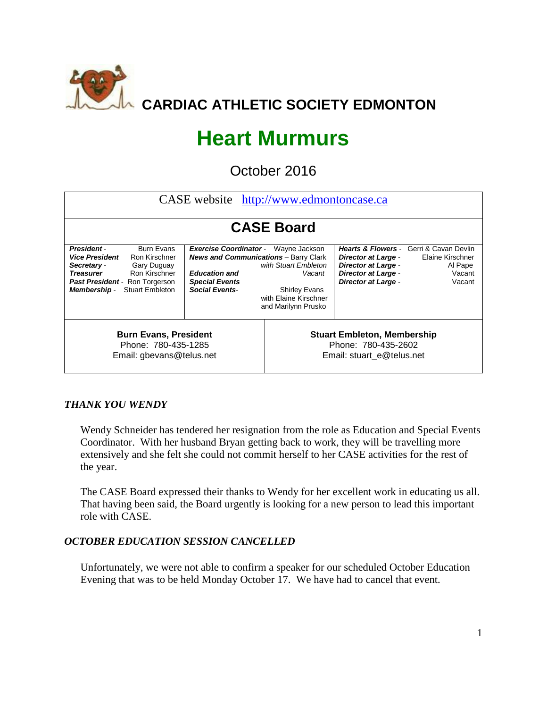

# **Heart Murmurs**

October 2016

| CASE website http://www.edmontoncase.ca                                                                                                                                                                                                     |                                                                                                                                                       |                                                                                                                         |                                                                                                                      |                                                                                                           |  |  |
|---------------------------------------------------------------------------------------------------------------------------------------------------------------------------------------------------------------------------------------------|-------------------------------------------------------------------------------------------------------------------------------------------------------|-------------------------------------------------------------------------------------------------------------------------|----------------------------------------------------------------------------------------------------------------------|-----------------------------------------------------------------------------------------------------------|--|--|
|                                                                                                                                                                                                                                             |                                                                                                                                                       | <b>CASE Board</b>                                                                                                       |                                                                                                                      |                                                                                                           |  |  |
| <b>Burn Evans</b><br><b>President</b><br><b>Vice President</b><br>Ron Kirschner<br>Secretary -<br>Gary Duguay<br><b>Treasurer</b><br>Ron Kirschner<br><b>Past President - Ron Torgerson</b><br><b>Stuart Embleton</b><br><b>Membership-</b> | <b>Exercise Coordinator</b><br><b>News and Communications</b> - Barry Clark<br><b>Education and</b><br><b>Special Events</b><br><b>Social Events-</b> | Wayne Jackson<br>with Stuart Embleton<br>Vacant<br><b>Shirley Evans</b><br>with Elaine Kirschner<br>and Marilynn Prusko | <b>Director at Large -</b><br><b>Director at Large -</b><br><b>Director at Large -</b><br><b>Director at Large -</b> | <b>Hearts &amp; Flowers - Gerri &amp; Cavan Devlin</b><br>Elaine Kirschner<br>Al Pape<br>Vacant<br>Vacant |  |  |
| <b>Burn Evans, President</b><br>Phone: 780-435-1285<br>Email: gbevans@telus.net                                                                                                                                                             |                                                                                                                                                       | <b>Stuart Embleton, Membership</b><br>Phone: 780-435-2602<br>Email: stuart_e@telus.net                                  |                                                                                                                      |                                                                                                           |  |  |

# *THANK YOU WENDY*

Wendy Schneider has tendered her resignation from the role as Education and Special Events Coordinator. With her husband Bryan getting back to work, they will be travelling more extensively and she felt she could not commit herself to her CASE activities for the rest of the year.

The CASE Board expressed their thanks to Wendy for her excellent work in educating us all. That having been said, the Board urgently is looking for a new person to lead this important role with CASE.

# *OCTOBER EDUCATION SESSION CANCELLED*

Unfortunately, we were not able to confirm a speaker for our scheduled October Education Evening that was to be held Monday October 17. We have had to cancel that event.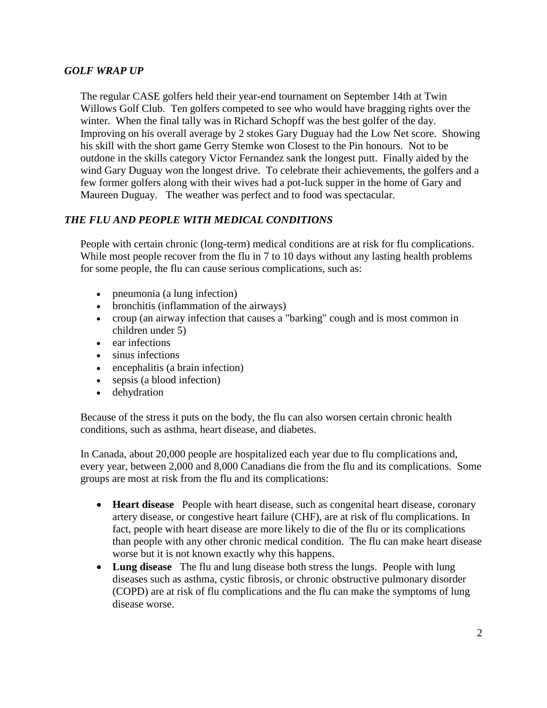#### *GOLF WRAP UP*

The regular CASE golfers held their year-end tournament on September 14th at Twin Willows Golf Club. Ten golfers competed to see who would have bragging rights over the winter. When the final tally was in Richard Schopff was the best golfer of the day. Improving on his overall average by 2 stokes Gary Duguay had the Low Net score. Showing his skill with the short game Gerry Stemke won Closest to the Pin honours. Not to be outdone in the skills category Victor Fernandez sank the longest putt. Finally aided by the wind Gary Duguay won the longest drive. To celebrate their achievements, the golfers and a few former golfers along with their wives had a pot-luck supper in the home of Gary and Maureen Duguay. The weather was perfect and to food was spectacular.

# *THE FLU AND PEOPLE WITH MEDICAL CONDITIONS*

People with certain chronic (long-term) medical conditions are at risk for [flu complications.](http://bodyandhealth.canada.com/channel_section_details.asp?text_id=5756&channel_id=2113&relation_id=95912&rot=5) While most people recover from the flu in 7 to 10 days without any lasting health problems for some people, the flu can cause serious complications, such as:

- pneumonia (a lung infection)
- bronchitis (inflammation of the airways)
- croup (an airway infection that causes a "barking" cough and is most common in children under 5)
- ear infections
- sinus infections
- encephalitis (a brain infection)
- sepsis (a blood infection)
- dehydration

Because of the stress it puts on the body, the flu can also worsen certain chronic health conditions, such as asthma, heart disease, and diabetes.

In Canada, about 20,000 people are hospitalized each year due to flu complications and, every year, between 2,000 and 8,000 Canadians die from the flu and its complications. Some groups are most at risk from the flu and its complications:

- **Heart disease** People with heart disease, such as congenital heart disease, coronary artery disease, or congestive heart failure (CHF), are at risk of flu complications. In fact, people with heart disease are more likely to die of the flu or its complications than people with any other chronic medical condition. The flu can make heart disease worse but it is not known exactly why this happens.
- **Lung disease** The flu and lung disease both stress the lungs. People with lung diseases such as asthma, cystic fibrosis, or chronic obstructive pulmonary disorder (COPD) are at risk of flu complications and the flu can make the symptoms of lung disease worse.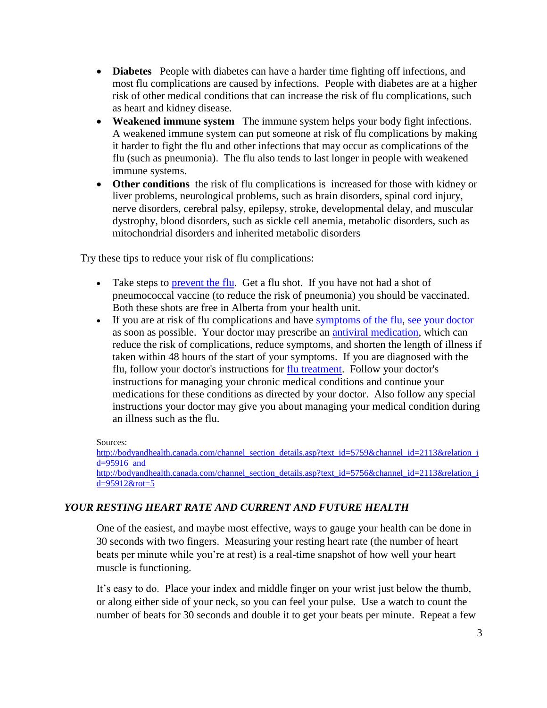- **Diabetes** People with diabetes can have a harder time fighting off infections, and most flu complications are caused by infections. People with diabetes are at a higher risk of other medical conditions that can increase the risk of flu complications, such as heart and kidney disease.
- **Weakened immune system** The immune system helps your body fight infections. A weakened immune system can put someone at risk of flu complications by making it harder to fight the flu and other infections that may occur as complications of the flu (such as pneumonia). The flu also tends to last longer in people with weakened immune systems.
- **Other conditions** the risk of flu complications is increased for those with kidney or liver problems, neurological problems, such as brain disorders, spinal cord injury, nerve disorders, cerebral palsy, epilepsy, stroke, developmental delay, and muscular dystrophy, blood disorders, such as sickle cell anemia, metabolic disorders, such as mitochondrial disorders and inherited metabolic disorders

Try these tips to reduce your risk of flu complications:

- Take steps to [prevent the flu.](http://bodyandhealth.canada.com/channel_section_details.asp?text_id=5764&channel_id=2113&relation_id=95925&rot=5) Get a flu shot. If you have not had a shot of pneumococcal vaccine (to reduce the risk of pneumonia) you should be vaccinated. Both these shots are free in Alberta from your health unit.
- If you are at risk of flu complications and have [symptoms of the flu,](http://bodyandhealth.canada.com/channel_section_details.asp?text_id=5755&channel_id=2113&relation_id=95912&rot=5) [see your doctor](http://bodyandhealth.canada.com/channel_section_details.asp?text_id=5767&channel_id=2113&relation_id=95956&rot=5) as soon as possible. Your doctor may prescribe an [antiviral medication,](http://bodyandhealth.canada.com/channel_section_details.asp?text_id=5762&channel_id=2113&relation_id=95922&rot=5) which can reduce the risk of complications, reduce symptoms, and shorten the length of illness if taken within 48 hours of the start of your symptoms. If you are diagnosed with the flu, follow your doctor's instructions for [flu treatment.](http://bodyandhealth.canada.com/channel_section_details.asp?text_id=5762&channel_id=2113&relation_id=95922&rot=5) Follow your doctor's instructions for managing your chronic medical conditions and continue your medications for these conditions as directed by your doctor. Also follow any special instructions your doctor may give you about managing your medical condition during an illness such as the flu.

Sources:

[http://bodyandhealth.canada.com/channel\\_section\\_details.asp?text\\_id=5759&channel\\_id=2113&relation\\_i](http://bodyandhealth.canada.com/channel_section_details.asp?text_id=5759&channel_id=2113&relation_id=95916) [d=95916](http://bodyandhealth.canada.com/channel_section_details.asp?text_id=5759&channel_id=2113&relation_id=95916) and [http://bodyandhealth.canada.com/channel\\_section\\_details.asp?text\\_id=5756&channel\\_id=2113&relation\\_i](http://bodyandhealth.canada.com/channel_section_details.asp?text_id=5756&channel_id=2113&relation_id=95912&rot=5) [d=95912&rot=5](http://bodyandhealth.canada.com/channel_section_details.asp?text_id=5756&channel_id=2113&relation_id=95912&rot=5)

# *[YOUR RESTING HEART RATE AND CURRENT AND FUTURE HEALTH](http://www.health.harvard.edu/blog/resting-heart-rate-can-reflect-current-future-health-201606179806)*

One of the easiest, and maybe most effective, ways to gauge your health can be done in 30 seconds with two fingers. Measuring your resting heart rate (the number of heart beats per minute while you're at rest) is a real-time snapshot of how well your heart muscle is functioning.

It's easy to do. Place your index and middle finger on your wrist just below the thumb, or along either side of your neck, so you can feel your pulse. Use a watch to count the number of beats for 30 seconds and double it to get your beats per minute. Repeat a few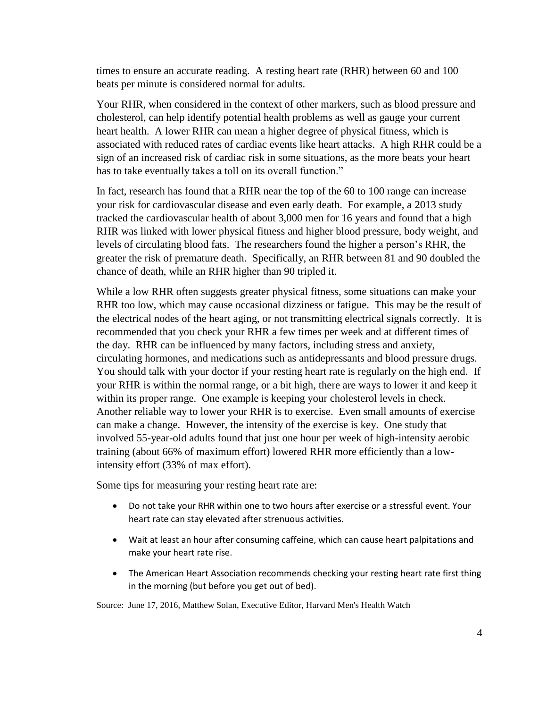times to ensure an accurate reading. A resting heart rate (RHR) between 60 and 100 beats per minute is considered normal for adults.

Your RHR, when considered in the context of other markers, such as blood pressure and cholesterol, can help identify potential health problems as well as gauge your current heart health. A lower RHR can mean a higher degree of physical fitness, which is associated with reduced rates of cardiac events like heart attacks. A high RHR could be a sign of an increased risk of cardiac risk in some situations, as the more beats your heart has to take eventually takes a toll on its overall function."

In fact, research has found that a RHR near the top of the 60 to 100 range can increase your risk for cardiovascular disease and even early death. For example, a 2013 study tracked the cardiovascular health of about 3,000 men for 16 years and found that a high RHR was linked with lower physical fitness and higher blood pressure, body weight, and levels of circulating blood fats. The researchers found the higher a person's RHR, the greater the risk of premature death. Specifically, an RHR between 81 and 90 doubled the chance of death, while an RHR higher than 90 tripled it.

While a low RHR often suggests greater physical fitness, some situations can make your RHR too low, which may cause occasional dizziness or fatigue. This may be the result of the electrical nodes of the heart aging, or not transmitting electrical signals correctly. It is recommended that you check your RHR a few times per week and at different times of the day. RHR can be influenced by many factors, including stress and anxiety, circulating hormones, and medications such as antidepressants and blood pressure drugs. You should talk with your doctor if your resting heart rate is regularly on the high end. If your RHR is within the normal range, or a bit high, there are ways to lower it and keep it within its proper range. One example is keeping your cholesterol levels in check. Another reliable way to lower your RHR is to exercise. Even small amounts of exercise can make a change. However, the intensity of the exercise is key. [One study](http://www.nature.com/jhh/journal/v24/n3/full/jhh200951a.html) that involved 55-year-old adults found that just one hour per week of high-intensity aerobic training (about 66% of maximum effort) lowered RHR more efficiently than a lowintensity effort (33% of max effort).

Some tips for measuring your resting heart rate are:

- Do not take your RHR within one to two hours after exercise or a stressful event. Your heart rate can stay elevated after strenuous activities.
- Wait at least an hour after consuming caffeine, which can cause heart palpitations and make your heart rate rise.
- The American Heart Association recommends checking your resting heart rate first thing in the morning (but before you get out of bed).

Source: June 17, 2016, [Matthew Solan,](http://www.health.harvard.edu/blog/author/msolan) Executive Editor, Harvard Men's Health Watch